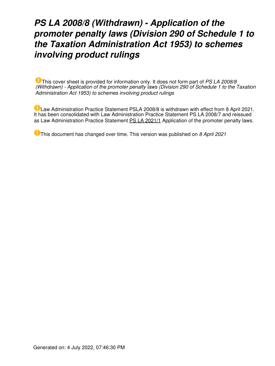# *PS LA 2008/8 (Withdrawn) - Application of the promoter penalty laws (Division 290 of Schedule 1 to the Taxation Administration Act 1953) to schemes involving product rulings*

This cover sheet is provided for information only. It does not form part of *PS LA 2008/8 (Withdrawn) - Application of the promoter penalty laws (Division 290 of Schedule 1 to the Taxation Administration Act 1953) to schemes involving product rulings*

Law Administration Practice Statement PSLA 2008/8 is withdrawn with effect from 8 April 2021. It has been consolidated with Law Administration Practice Statement PS LA 2008/7 and reissued as Law Administration Practice Statement [PS LA 2021/1](https://www.ato.gov.au/law/view/document?LocID=%22PSR%2FPS20211%2FNAT%2FATO%22&PiT=99991231235958) Application of the promoter penalty laws.

This document has changed over time. This version was published on *8 April 2021*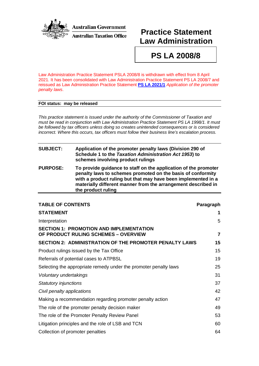

**Australian Government Australian Taxation Office** 

# **Practice Statement Law Administration**

**PS LA 2008/8**

Law Administration Practice Statement PSLA 2008/8 is withdrawn with effect from 8 April 2021. It has been consolidated with Law Administration Practice Statement PS LA 2008/7 and reissued as Law Administration Practice Statement **PS [LA 2021/1](http://ato.gov.au/law/view/document?DocID=PSR/PS20211/NAT/ATO/00001)** *Application of the promoter penalty laws*.

#### **FOI status: may be released**

*This practice statement is issued under the authority of the Commissioner of Taxation and must be read in conjunction with Law Administration Practice Statement PS LA 1998/1. It must be followed by tax officers unless doing so creates unintended consequences or is considered incorrect. Where this occurs, tax officers must follow their business line's escalation process.*

| <b>SUBJECT:</b> | Application of the promoter penalty laws (Division 290 of<br>Schedule 1 to the Taxation Administration Act 1953) to<br>schemes involving product rulings                                                                                                                               |
|-----------------|----------------------------------------------------------------------------------------------------------------------------------------------------------------------------------------------------------------------------------------------------------------------------------------|
| <b>PURPOSE:</b> | To provide guidance to staff on the application of the promoter<br>penalty laws to schemes promoted on the basis of conformity<br>with a product ruling but that may have been implemented in a<br>materially different manner from the arrangement described in<br>the product ruling |

| <b>TABLE OF CONTENTS</b>                                                               | Paragraph               |
|----------------------------------------------------------------------------------------|-------------------------|
| <b>STATEMENT</b>                                                                       | 1                       |
| Interpretation                                                                         | 5                       |
| <b>SECTION 1: PROMOTION AND IMPLEMENTATION</b><br>OF PRODUCT RULING SCHEMES - OVERVIEW | $\overline{\mathbf{z}}$ |
| <b>SECTION 2: ADMINISTRATION OF THE PROMOTER PENALTY LAWS</b>                          | 15                      |
| Product rulings issued by the Tax Office                                               | 15                      |
| Referrals of potential cases to ATPBSL                                                 | 19                      |
| Selecting the appropriate remedy under the promoter penalty laws                       | 25                      |
| Voluntary undertakings                                                                 | 31                      |
| Statutory injunctions                                                                  | 37                      |
| Civil penalty applications                                                             | 42                      |
| Making a recommendation regarding promoter penalty action                              | 47                      |
| The role of the promoter penalty decision maker                                        | 49                      |
| The role of the Promoter Penalty Review Panel                                          | 53                      |
| Litigation principles and the role of LSB and TCN                                      | 60                      |
| Collection of promoter penalties                                                       | 64                      |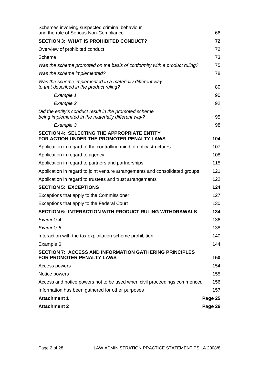| Schemes involving suspected criminal behaviour<br>and the role of Serious Non-Compliance                     | 66      |
|--------------------------------------------------------------------------------------------------------------|---------|
| <b>SECTION 3: WHAT IS PROHIBITED CONDUCT?</b>                                                                | 72      |
| Overview of prohibited conduct                                                                               | 72      |
| Scheme                                                                                                       | 73      |
| Was the scheme promoted on the basis of conformity with a product ruling?                                    | 75      |
| Was the scheme implemented?                                                                                  | 78      |
| Was the scheme implemented in a materially different way<br>to that described in the product ruling?         | 80      |
| Example 1                                                                                                    | 90      |
| Example 2                                                                                                    | 92      |
| Did the entity's conduct result in the promoted scheme<br>being implemented in the materially different way? | 95      |
| Example 3                                                                                                    | 98      |
| <b>SECTION 4: SELECTING THE APPROPRIATE ENTITY</b><br>FOR ACTION UNDER THE PROMOTER PENALTY LAWS             | 104     |
| Application in regard to the controlling mind of entity structures                                           | 107     |
| Application in regard to agency                                                                              | 108     |
| Application in regard to partners and partnerships                                                           | 115     |
| Application in regard to joint venture arrangements and consolidated groups                                  | 121     |
| Application in regard to trustees and trust arrangements                                                     | 122     |
| <b>SECTION 5: EXCEPTIONS</b>                                                                                 | 124     |
| Exceptions that apply to the Commissioner                                                                    | 127     |
| Exceptions that apply to the Federal Court                                                                   | 130     |
| <b>SECTION 6: INTERACTION WITH PRODUCT RULING WITHDRAWALS</b>                                                | 134     |
| Example 4                                                                                                    | 136     |
| Example 5                                                                                                    | 138     |
| Interaction with the tax exploitation scheme prohibition                                                     | 140     |
| Example 6                                                                                                    | 144     |
| <b>SECTION 7: ACCESS AND INFORMATION GATHERING PRINCIPLES</b><br><b>FOR PROMOTER PENALTY LAWS</b>            | 150     |
| Access powers                                                                                                | 154     |
| Notice powers                                                                                                | 155     |
| Access and notice powers not to be used when civil proceedings commenced                                     | 156     |
| Information has been gathered for other purposes                                                             | 157     |
| <b>Attachment 1</b>                                                                                          | Page 25 |
| <b>Attachment 2</b>                                                                                          | Page 26 |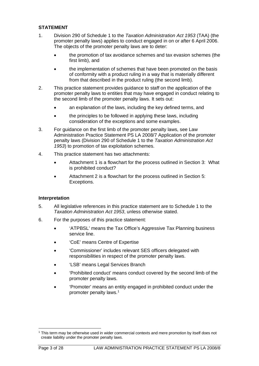# **STATEMENT**

- 1. Division 290 of Schedule 1 to the *Taxation Administration Act 1953* (TAA) (the promoter penalty laws) applies to conduct engaged in on or after 6 April 2006. The objects of the promoter penalty laws are to deter:
	- the promotion of tax avoidance schemes and tax evasion schemes (the first limb), and
	- the implementation of schemes that have been promoted on the basis of conformity with a product ruling in a way that is materially different from that described in the product ruling (the second limb).
- 2. This practice statement provides guidance to staff on the application of the promoter penalty laws to entities that may have engaged in conduct relating to the second limb of the promoter penalty laws. It sets out:
	- an explanation of the laws, including the key defined terms, and
	- the principles to be followed in applying these laws, including consideration of the exceptions and some examples.
- 3. For guidance on the first limb of the promoter penalty laws, see Law Administration Practice Statement PS LA 2008/7 Application of the promoter penalty laws (Division 290 of Schedule 1 to the *Taxation Administration Act 1953*) to promotion of tax exploitation schemes.
- 4. This practice statement has two attachments:
	- Attachment 1 is a flowchart for the process outlined in Section 3: What is prohibited conduct?
	- Attachment 2 is a flowchart for the process outlined in Section 5: Exceptions.

#### **Interpretation**

- 5. All legislative references in this practice statement are to Schedule 1 to the *Taxation Administration Act 1953*, unless otherwise stated.
- 6. For the purposes of this practice statement:
	- 'ATPBSL' means the Tax Office's Aggressive Tax Planning business service line.
	- 'CoE' means Centre of Expertise
	- 'Commissioner' includes relevant SES officers delegated with responsibilities in respect of the promoter penalty laws.
	- 'LSB' means Legal Services Branch
	- 'Prohibited conduct' means conduct covered by the second limb of the promoter penalty laws.
	- 'Promoter' means an entity engaged in prohibited conduct under the promoter penalty laws[.1](#page-3-0)

<span id="page-3-0"></span><sup>1</sup> This term may be otherwise used in wider commercial contexts and mere promotion by itself does not create liability under the promoter penalty laws.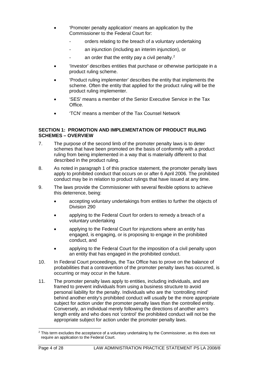- 'Promoter penalty application' means an application by the Commissioner to the Federal Court for:
	- orders relating to the breach of a voluntary undertaking
	- an injunction (including an interim injunction), or
	- an order that the entity pay a civil penalty. $2$
- 'Investor' describes entities that purchase or otherwise participate in a product ruling scheme.
- 'Product ruling implementer' describes the entity that implements the scheme. Often the entity that applied for the product ruling will be the product ruling implementer.
- 'SES' means a member of the Senior Executive Service in the Tax Office.
- 'TCN' means a member of the Tax Counsel Network

### **SECTION 1: PROMOTION AND IMPLEMENTATION OF PRODUCT RULING SCHEMES – OVERVIEW**

- 7. The purpose of the second limb of the promoter penalty laws is to deter schemes that have been promoted on the basis of conformity with a product ruling from being implemented in a way that is materially different to that described in the product ruling.
- 8. As noted in paragraph 1 of this practice statement, the promoter penalty laws apply to prohibited conduct that occurs on or after 6 April 2006. The prohibited conduct may be in relation to product rulings that have issued at any time.
- 9. The laws provide the Commissioner with several flexible options to achieve this deterrence, being:
	- accepting voluntary undertakings from entities to further the objects of Division 290
	- applying to the Federal Court for orders to remedy a breach of a voluntary undertaking
	- applying to the Federal Court for injunctions where an entity has engaged, is engaging, or is proposing to engage in the prohibited conduct, and
	- applying to the Federal Court for the imposition of a civil penalty upon an entity that has engaged in the prohibited conduct.
- 10. In Federal Court proceedings, the Tax Office has to prove on the balance of probabilities that a contravention of the promoter penalty laws has occurred, is occurring or may occur in the future.
- 11. The promoter penalty laws apply to entities, including individuals, and are framed to prevent individuals from using a business structure to avoid personal liability for the penalty. Individuals who are the 'controlling mind' behind another entity's prohibited conduct will usually be the more appropriate subject for action under the promoter penalty laws than the controlled entity. Conversely, an individual merely following the directions of another arm's length entity and who does not 'control' the prohibited conduct will not be the appropriate subject for action under the promoter penalty laws.

<span id="page-4-0"></span><sup>&</sup>lt;sup>2</sup> This term excludes the acceptance of a voluntary undertaking by the Commissioner, as this does not require an application to the Federal Court.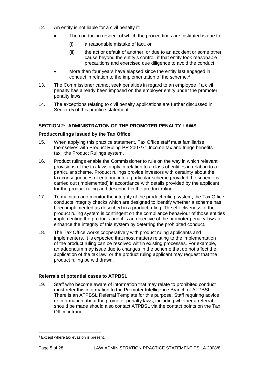- 12. An entity is not liable for a civil penalty if:
	- The conduct in respect of which the proceedings are instituted is due to:
		- (i) a reasonable mistake of fact, or
		- (ii) the act or default of another, or due to an accident or some other cause beyond the entity's control, if that entity took reasonable precautions and exercised due diligence to avoid the conduct.
	- More than four years have elapsed since the entity last engaged in conduct in relation to the implementation of the scheme.<sup>[3](#page-5-0)</sup>
- 13. The Commissioner cannot seek penalties in regard to an employee if a civil penalty has already been imposed on the employer entity under the promoter penalty laws.
- 14. The exceptions relating to civil penalty applications are further discussed in Section 5 of this practice statement.

# **SECTION 2: ADMINISTRATION OF THE PROMOTER PENALTY LAWS**

#### **Product rulings issued by the Tax Office**

- 15. When applying this practice statement, Tax Office staff must familiarise themselves with Product Ruling PR 2007/71 Income tax and fringe benefits tax: the Product Rulings system.
- 16. Product rulings enable the Commissioner to rule on the way in which relevant provisions of the tax laws apply in relation to a class of entities in relation to a particular scheme. Product rulings provide investors with certainty about the tax consequences of entering into a particular scheme provided the scheme is carried out (implemented) in accordance with details provided by the applicant for the product ruling and described in the product ruling.
- 17. To maintain and monitor the integrity of the product ruling system, the Tax Office conducts integrity checks which are designed to identify whether a scheme has been implemented as described in a product ruling. The effectiveness of the product ruling system is contingent on the compliance behaviour of those entities implementing the products and it is an objective of the promoter penalty laws to enhance the integrity of this system by deterring the prohibited conduct.
- 18. The Tax Office works cooperatively with product ruling applicants and implementers. It is expected that most matters relating to the implementation of the product ruling can be resolved within existing processes. For example, an addendum may issue due to changes in the scheme that do not affect the application of the tax law, or the product ruling applicant may request that the product ruling be withdrawn.

#### **Referrals of potential cases to ATPBSL**

19. Staff who become aware of information that may relate to prohibited conduct must refer this information to the Promoter Intelligence Branch of ATPBSL. There is an ATPBSL Referral Template for this purpose. Staff requiring advice or information about the promoter penalty laws, including whether a referral should be made should also contact ATPBSL via the contact points on the Tax Office intranet.

<span id="page-5-0"></span><sup>&</sup>lt;sup>3</sup> Except where tax evasion is present.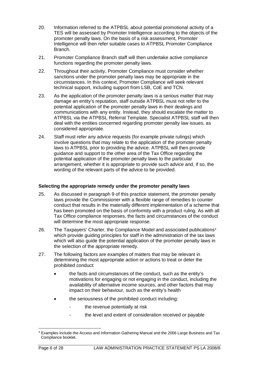- 20. Information referred to the ATPBSL about potential promotional activity of a TES will be assessed by Promoter Intelligence according to the objects of the promoter penalty laws. On the basis of a risk assessment, Promoter Intelligence will then refer suitable cases to ATPBSL Promoter Compliance Branch.
- 21. Promoter Compliance Branch staff will then undertake active compliance functions regarding the promoter penalty laws.
- 22. Throughout their activity, Promoter Compliance must consider whether sanctions under the promoter penalty laws may be appropriate in the circumstances. In this context, Promoter Compliance will seek relevant technical support, including support from LSB, CoE and TCN.
- 23. As the application of the promoter penalty laws is a serious matter that may damage an entity's reputation, staff outside ATPBSL must not refer to the potential application of the promoter penalty laws in their dealings and communications with any entity. Instead, they should escalate the matter to ATPBSL via the ATPBSL Referral Template. Specialist ATPBSL staff will then deal with the entities concerned regarding promoter penalty law issues, as considered appropriate.
- 24. Staff must refer any advice requests (for example private rulings) which involve questions that may relate to the application of the promoter penalty laws to ATPBSL prior to providing the advice. ATPBSL will then provide guidance and support to the other area of the Tax Office regarding the potential application of the promoter penalty laws to the particular arrangement, whether it is appropriate to provide such advice and, if so, the wording of the relevant parts of the advice to be provided.

# **Selecting the appropriate remedy under the promoter penalty laws**

- 25. As discussed in paragraph 9 of this practice statement, the promoter penalty laws provide the Commissioner with a flexible range of remedies to counter conduct that results in the materially different implementation of a scheme that has been promoted on the basis of conformity with a product ruling. As with all Tax Office compliance responses, the facts and circumstances of the conduct will determine the most appropriate response.
- 26. The Taxpayers' Charter, the Compliance Model and associated publications<sup>[4](#page-6-0)</sup> which provide quiding principles for staff in the administration of the tax laws which will also guide the potential application of the promoter penalty laws in the selection of the appropriate remedy.
- 27. The following factors are examples of matters that may be relevant in determining the most appropriate action or actions to treat or deter the prohibited conduct:
	- the facts and circumstances of the conduct, such as the entity's motivations for engaging or not engaging in the conduct, including the availability of alternative income sources, and other factors that may impact on their behaviour, such as the entity's health
	- the seriousness of the prohibited conduct including:
		- the revenue potentially at risk
		- the level and extent of consideration received or payable

<span id="page-6-0"></span><sup>4</sup> Examples include the Access and Information Gathering Manual and the 2006 Large Business and Tax Compliance booklet.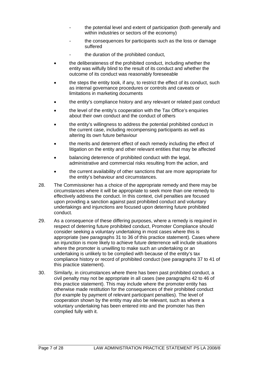- the potential level and extent of participation (both generally and within industries or sectors of the economy)
- the consequences for participants such as the loss or damage suffered
- the duration of the prohibited conduct,
- the deliberateness of the prohibited conduct, including whether the entity was wilfully blind to the result of its conduct and whether the outcome of its conduct was reasonably foreseeable
- the steps the entity took, if any, to restrict the effect of its conduct, such as internal governance procedures or controls and caveats or limitations in marketing documents
- the entity's compliance history and any relevant or related past conduct
- the level of the entity's cooperation with the Tax Office's enquiries about their own conduct and the conduct of others
- the entity's willingness to address the potential prohibited conduct in the current case, including recompensing participants as well as altering its own future behaviour
- the merits and deterrent effect of each remedy including the effect of litigation on the entity and other relevant entities that may be affected
- balancing deterrence of prohibited conduct with the legal, administrative and commercial risks resulting from the action, and
- the current availability of other sanctions that are more appropriate for the entity's behaviour and circumstances.
- 28. The Commissioner has a choice of the appropriate remedy and there may be circumstances where it will be appropriate to seek more than one remedy to effectively address the conduct. In this context, civil penalties are focused upon providing a sanction against past prohibited conduct and voluntary undertakings and injunctions are focused upon deterring future prohibited conduct.
- 29. As a consequence of these differing purposes, where a remedy is required in respect of deterring future prohibited conduct, Promoter Compliance should consider seeking a voluntary undertaking in most cases where this is appropriate (see paragraphs 31 to 36 of this practice statement). Cases where an injunction is more likely to achieve future deterrence will include situations where the promoter is unwilling to make such an undertaking or an undertaking is unlikely to be complied with because of the entity's tax compliance history or record of prohibited conduct (see paragraphs 37 to 41 of this practice statement).
- 30. Similarly, in circumstances where there has been past prohibited conduct, a civil penalty may not be appropriate in all cases (see paragraphs 42 to 46 of this practice statement). This may include where the promoter entity has otherwise made restitution for the consequences of their prohibited conduct (for example by payment of relevant participant penalties). The level of cooperation shown by the entity may also be relevant, such as where a voluntary undertaking has been entered into and the promoter has then complied fully with it.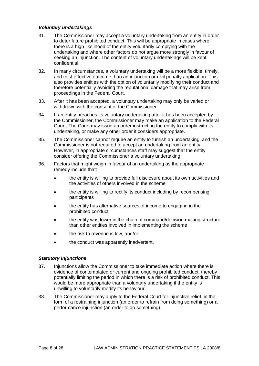# *Voluntary undertakings*

- 31. The Commissioner may accept a voluntary undertaking from an entity in order to deter future prohibited conduct. This will be appropriate in cases where there is a high likelihood of the entity voluntarily complying with the undertaking and where other factors do not argue more strongly in favour of seeking an injunction. The content of voluntary undertakings will be kept confidential.
- 32. In many circumstances, a voluntary undertaking will be a more flexible, timely, and cost-effective outcome than an injunction or civil penalty application. This also provides entities with the option of voluntarily modifying their conduct and therefore potentially avoiding the reputational damage that may arise from proceedings in the Federal Court.
- 33. After it has been accepted, a voluntary undertaking may only be varied or withdrawn with the consent of the Commissioner.
- 34. If an entity breaches its voluntary undertaking after it has been accepted by the Commissioner, the Commissioner may make an application to the Federal Court. The Court may issue an order instructing the entity to comply with its undertaking, or make any other order it considers appropriate.
- 35. The Commissioner cannot require an entity to furnish an undertaking, and the Commissioner is not required to accept an undertaking from an entity. However, in appropriate circumstances staff may suggest that the entity consider offering the Commissioner a voluntary undertaking.
- 36. Factors that might weigh in favour of an undertaking as the appropriate remedy include that:
	- the entity is willing to provide full disclosure about its own activities and the activities of others involved in the scheme
	- the entity is willing to rectify its conduct including by recompensing participants
	- the entity has alternative sources of income to engaging in the prohibited conduct
	- the entity was lower in the chain of command/decision making structure than other entities involved in implementing the scheme
	- the risk to revenue is low, and/or
	- the conduct was apparently inadvertent.

# *Statutory injunctions*

- 37. Injunctions allow the Commissioner to take immediate action where there is evidence of contemplated or current and ongoing prohibited conduct, thereby potentially limiting the period in which there is a risk of prohibited conduct. This would be more appropriate than a voluntary undertaking if the entity is unwilling to voluntarily modify its behaviour.
- 38. The Commissioner may apply to the Federal Court for injunctive relief, in the form of a restraining injunction (an order to refrain from doing something) or a performance injunction (an order to do something).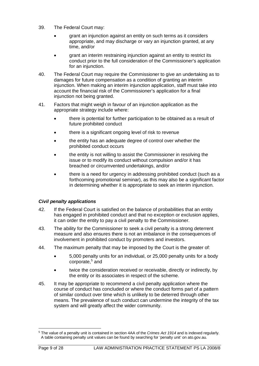- 39. The Federal Court may:
	- grant an injunction against an entity on such terms as it considers appropriate, and may discharge or vary an injunction granted, at any time, and/or
	- grant an interim restraining injunction against an entity to restrict its conduct prior to the full consideration of the Commissioner's application for an injunction.
- 40. The Federal Court may require the Commissioner to give an undertaking as to damages for future compensation as a condition of granting an interim injunction. When making an interim injunction application, staff must take into account the financial risk of the Commissioner's application for a final injunction not being granted.
- 41. Factors that might weigh in favour of an injunction application as the appropriate strategy include where:
	- there is potential for further participation to be obtained as a result of future prohibited conduct
	- there is a significant ongoing level of risk to revenue
	- the entity has an adequate degree of control over whether the prohibited conduct occurs
	- the entity is not willing to assist the Commissioner in resolving the issue or to modify its conduct without compulsion and/or it has breached or circumvented undertakings, and/or
	- there is a need for urgency in addressing prohibited conduct (such as a forthcoming promotional seminar), as this may also be a significant factor in determining whether it is appropriate to seek an interim injunction.

# *Civil penalty applications*

- 42. If the Federal Court is satisfied on the balance of probabilities that an entity has engaged in prohibited conduct and that no exception or exclusion applies, it can order the entity to pay a civil penalty to the Commissioner.
- 43. The ability for the Commissioner to seek a civil penalty is a strong deterrent measure and also ensures there is not an imbalance in the consequences of involvement in prohibited conduct by promoters and investors.
- 44. The maximum penalty that may be imposed by the Court is the greater of:
	- 5,000 penalty units for an individual, or 25,000 penalty units for a body corporate[,5](#page-9-0) and
	- twice the consideration received or receivable, directly or indirectly, by the entity or its associates in respect of the scheme.
- 45. It may be appropriate to recommend a civil penalty application where the course of conduct has concluded or where the conduct forms part of a pattern of similar conduct over time which is unlikely to be deterred through other means. The prevalence of such conduct can undermine the integrity of the tax system and will greatly affect the wider community.

<span id="page-9-0"></span><sup>5</sup> The value of a penalty unit is contained in section 4AA of the *Crimes Act 1914* and is indexed regularly. A table containing penalty unit values can be found by searching for 'penalty unit' on ato.gov.au.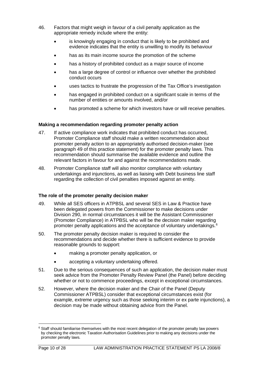- 46. Factors that might weigh in favour of a civil penalty application as the appropriate remedy include where the entity:
	- is knowingly engaging in conduct that is likely to be prohibited and evidence indicates that the entity is unwilling to modify its behaviour
	- has as its main income source the promotion of the scheme
	- has a history of prohibited conduct as a major source of income
	- has a large degree of control or influence over whether the prohibited conduct occurs
	- uses tactics to frustrate the progression of the Tax Office's investigation
	- has engaged in prohibited conduct on a significant scale in terms of the number of entities or amounts involved, and/or
	- has promoted a scheme for which investors have or will receive penalties.

# **Making a recommendation regarding promoter penalty action**

- 47. If active compliance work indicates that prohibited conduct has occurred, Promoter Compliance staff should make a written recommendation about promoter penalty action to an appropriately authorised decision-maker (see paragraph 49 of this practice statement) for the promoter penalty laws. This recommendation should summarise the available evidence and outline the relevant factors in favour for and against the recommendations made.
- 48. Promoter Compliance staff will also monitor compliance with voluntary undertakings and injunctions, as well as liaising with Debt business line staff regarding the collection of civil penalties imposed against an entity.

#### **The role of the promoter penalty decision maker**

- 49. While all SES officers in ATPBSL and several SES in Law & Practice have been delegated powers from the Commissioner to make decisions under Division 290, in normal circumstances it will be the Assistant Commissioner (Promoter Compliance) in ATPBSL who will be the decision maker regarding promoter penalty applications and the acceptance of voluntary undertakings.<sup>[6](#page-10-0)</sup>
- 50. The promoter penalty decision maker is required to consider the recommendations and decide whether there is sufficient evidence to provide reasonable grounds to support:
	- making a promoter penalty application, or
	- accepting a voluntary undertaking offered.
- 51. Due to the serious consequences of such an application, the decision maker must seek advice from the Promoter Penalty Review Panel (the Panel) before deciding whether or not to commence proceedings, except in exceptional circumstances.
- 52. However, where the decision maker and the Chair of the Panel (Deputy Commissioner ATPBSL) consider that exceptional circumstances exist (for example, extreme urgency such as those seeking interim or ex parte injunctions), a decision may be made without obtaining advice from the Panel.

<span id="page-10-0"></span><sup>&</sup>lt;sup>6</sup> Staff should familiarise themselves with the most recent delegation of the promoter penalty law powers by checking the electronic Taxation Authorisation Guidelines prior to making any decisions under the promoter penalty laws.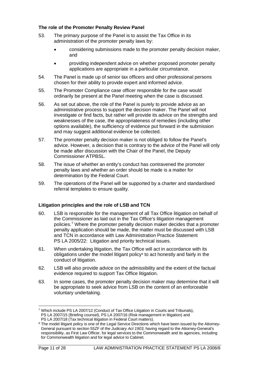# **The role of the Promoter Penalty Review Panel**

- 53. The primary purpose of the Panel is to assist the Tax Office in its administration of the promoter penalty laws by:
	- considering submissions made to the promoter penalty decision maker, and
	- providing independent advice on whether proposed promoter penalty applications are appropriate in a particular circumstance.
- 54. The Panel is made up of senior tax officers and other professional persons chosen for their ability to provide expert and informed advice.
- 55. The Promoter Compliance case officer responsible for the case would ordinarily be present at the Panel meeting when the case is discussed.
- 56. As set out above, the role of the Panel is purely to provide advice as an administrative process to support the decision maker. The Panel will not investigate or find facts, but rather will provide its advice on the strengths and weaknesses of the case, the appropriateness of remedies (including other options available), the sufficiency of evidence put forward in the submission and may suggest additional evidence be collected.
- 57. The promoter penalty decision maker is not obliged to follow the Panel's advice. However, a decision that is contrary to the advice of the Panel will only be made after discussion with the Chair of the Panel, the Deputy Commissioner ATPBSL.
- 58. The issue of whether an entity's conduct has contravened the promoter penalty laws and whether an order should be made is a matter for determination by the Federal Court.
- 59. The operations of the Panel will be supported by a charter and standardised referral templates to ensure quality.

# **Litigation principles and the role of LSB and TCN**

- 60. LSB is responsible for the management of all Tax Office litigation on behalf of the Commissioner as laid out in the Tax Office's litigation management policies.<sup>7</sup> Where the promoter penalty decision maker decides that a promoter penalty application should be made, the matter must be discussed with LSB and TCN in accordance with Law Administration Practice Statement PS LA 2005/22: Litigation and priority technical issues.
- 61. When undertaking litigation, the Tax Office will act in accordance with its obligations under the model litigant policy<sup>[8](#page-11-1)</sup> to act honestly and fairly in the conduct of litigation.
- 62. LSB will also provide advice on the admissibility and the extent of the factual evidence required to support Tax Office litigation.
- 63. In some cases, the promoter penalty decision maker may determine that it will be appropriate to seek advice from LSB on the content of an enforceable voluntary undertaking.

<span id="page-11-0"></span><sup>7</sup> Which include PS LA 2007/12 (Conduct of Tax Office Litigation in Courts and Tribunals), PS LA 2007/15 (Briefing counsel), PS LA 2007/16 (Risk management in litigation) and PS LA 2007/18 (Tax technical litigation in Federal Court matters).

<span id="page-11-1"></span><sup>&</sup>lt;sup>8</sup> The model litigant policy is one of the Legal Service Directions which have been issued by the Attorney-General pursuant to section 55ZF of the *Judiciary Act 1903*, having regard to the Attorney-General's responsibility, as First Law Officer, for legal services to the Commonwealth and its agencies, including for Commonwealth litigation and for legal advice to Cabinet.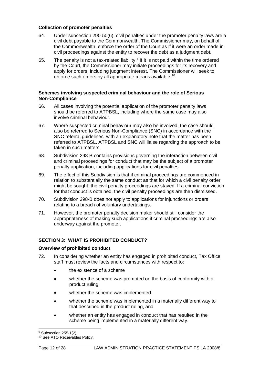### **Collection of promoter penalties**

- 64. Under subsection 290-50(6), civil penalties under the promoter penalty laws are a civil debt payable to the Commonwealth. The Commissioner may, on behalf of the Commonwealth, enforce the order of the Court as if it were an order made in civil proceedings against the entity to recover the debt as a judgment debt.
- 65. The penalty is not a tax-related liability.<sup>[9](#page-12-0)</sup> If it is not paid within the time ordered by the Court, the Commissioner may initiate proceedings for its recovery and apply for orders, including judgment interest. The Commissioner will seek to enforce such orders by all appropriate means available.<sup>[10](#page-12-1)</sup>

### **Schemes involving suspected criminal behaviour and the role of Serious Non-Compliance**

- 66. All cases involving the potential application of the promoter penalty laws should be referred to ATPBSL, including where the same case may also involve criminal behaviour.
- 67. Where suspected criminal behaviour may also be involved, the case should also be referred to Serious Non-Compliance (SNC) in accordance with the SNC referral guidelines, with an explanatory note that the matter has been referred to ATPBSL. ATPBSL and SNC will liaise regarding the approach to be taken in such matters.
- 68. Subdivision 298-B contains provisions governing the interaction between civil and criminal proceedings for conduct that may be the subject of a promoter penalty application, including applications for civil penalties.
- 69. The effect of this Subdivision is that if criminal proceedings are commenced in relation to substantially the same conduct as that for which a civil penalty order might be sought, the civil penalty proceedings are stayed. If a criminal conviction for that conduct is obtained, the civil penalty proceedings are then dismissed.
- 70. Subdivision 298-B does not apply to applications for injunctions or orders relating to a breach of voluntary undertakings.
- 71. However, the promoter penalty decision maker should still consider the appropriateness of making such applications if criminal proceedings are also underway against the promoter.

# **SECTION 3: WHAT IS PROHIBITED CONDUCT?**

#### **Overview of prohibited conduct**

- 72. In considering whether an entity has engaged in prohibited conduct, Tax Office staff must review the facts and circumstances with respect to:
	- the existence of a scheme
	- whether the scheme was promoted on the basis of conformity with a product ruling
	- whether the scheme was implemented
	- whether the scheme was implemented in a materially different way to that described in the product ruling, and
	- whether an entity has engaged in conduct that has resulted in the scheme being implemented in a materially different way.

<span id="page-12-0"></span><sup>9</sup> Subsection 255-1(2).

<span id="page-12-1"></span><sup>&</sup>lt;sup>10</sup> See ATO Receivables Policy.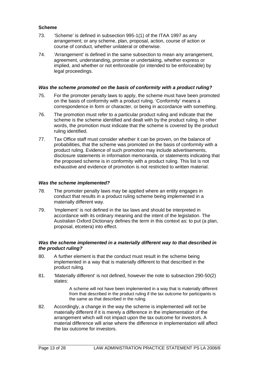### **Scheme**

- 73. 'Scheme' is defined in subsection 995-1(1) of the ITAA 1997 as any arrangement; or any scheme, plan, proposal, action, course of action or course of conduct, whether unilateral or otherwise.
- 74. 'Arrangement' is defined in the same subsection to mean any arrangement, agreement, understanding, promise or undertaking, whether express or implied, and whether or not enforceable (or intended to be enforceable) by legal proceedings.

#### *Was the scheme promoted on the basis of conformity with a product ruling?*

- 75. For the promoter penalty laws to apply, the scheme must have been promoted on the basis of conformity with a product ruling. 'Conformity' means a correspondence in form or character, or being in accordance with something.
- 76. The promotion must refer to a particular product ruling and indicate that the scheme is the scheme identified and dealt with by the product ruling. In other words, the promotion must indicate that the scheme is covered by the product ruling identified.
- 77. Tax Office staff must consider whether it can be proven, on the balance of probabilities, that the scheme was promoted on the basis of conformity with a product ruling. Evidence of such promotion may include advertisements, disclosure statements in information memoranda, or statements indicating that the proposed scheme is in conformity with a product ruling. This list is not exhaustive and evidence of promotion is not restricted to written material.

#### *Was the scheme implemented?*

- 78. The promoter penalty laws may be applied where an entity engages in conduct that results in a product ruling scheme being implemented in a materially different way.
- 79. 'Implement' is not defined in the tax laws and should be interpreted in accordance with its ordinary meaning and the intent of the legislation. The Australian Oxford Dictionary defines the term in this context as: to put (a plan, proposal, etcetera) into effect.

#### *Was the scheme implemented in a materially different way to that described in the product ruling?*

- 80. A further element is that the conduct must result in the scheme being implemented in a way that is materially different to that described in the product ruling.
- 81. 'Materially different' is not defined, however the note to subsection 290-50(2) states:

A scheme will not have been implemented in a way that is materially different from that described in the product ruling if the tax outcome for participants is the same as that described in the ruling.

82. Accordingly, a change in the way the scheme is implemented will not be materially different if it is merely a difference in the implementation of the arrangement which will not impact upon the tax outcome for investors. A material difference will arise where the difference in implementation will affect the tax outcome for investors.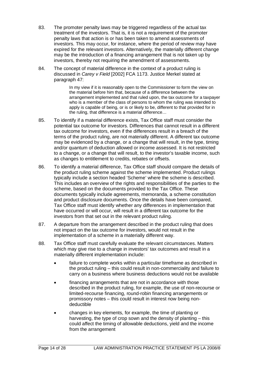- 83. The promoter penalty laws may be triggered regardless of the actual tax treatment of the investors. That is, it is not a requirement of the promoter penalty laws that action is or has been taken to amend assessments of investors. This may occur, for instance, where the period of review may have expired for the relevant investors. Alternatively, the materially different change may be the introduction of a financing arrangement that is not taken up by investors, thereby not requiring the amendment of assessments.
- 84. The concept of material difference in the context of a product ruling is discussed in *Carey v Field* [2002] FCA 1173. Justice Merkel stated at paragraph 47:

In my view if it is reasonably open to the Commissioner to form the view on the material before him that, because of a difference between the arrangement implemented and that ruled upon, the tax outcome for a taxpayer who is a member of the class of persons to whom the ruling was intended to apply is capable of being, or is or likely to be, different to that provided for in the ruling, that difference is a material difference…

- 85. To identify if a material difference exists, Tax Office staff must consider the potential tax outcome for investors. Differences that cannot result in a different tax outcome for investors, even if the differences result in a breach of the terms of the product ruling, are not materially different. A different tax outcome may be evidenced by a change, or a change that will result, in the type, timing and/or quantum of deduction allowed or income assessed. It is not restricted to a change, or a change that will result, to the investor's taxable income, such as changes to entitlement to credits, rebates or offsets.
- 86. To identify a material difference, Tax Office staff should compare the details of the product ruling scheme against the scheme implemented. Product rulings typically include a section headed 'Scheme' where the scheme is described. This includes an overview of the rights and responsibilities of the parties to the scheme, based on the documents provided to the Tax Office. These documents typically include agreements, memoranda, a scheme constitution and product disclosure documents. Once the details have been compared, Tax Office staff must identify whether any differences in implementation that have occurred or will occur, will result in a different tax outcome for the investors from that set out in the relevant product ruling.
- 87. A departure from the arrangement described in the product ruling that does not impact on the tax outcome for investors, would not result in the implementation of a scheme in a materially different way.
- 88. Tax Office staff must carefully evaluate the relevant circumstances. Matters which may give rise to a change in investors' tax outcomes and result in a materially different implementation include:
	- failure to complete works within a particular timeframe as described in the product ruling – this could result in non-commerciality and failure to carry on a business where business deductions would not be available
	- financing arrangements that are not in accordance with those described in the product ruling, for example, the use of non-recourse or limited-recourse financing, round-robin financing arrangements or promissory notes – this could result in interest now being nondeductible
	- changes in key elements, for example, the time of planting or harvesting, the type of crop sown and the density of planting – this could affect the timing of allowable deductions, yield and the income from the arrangement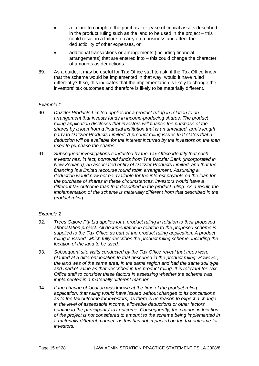- a failure to complete the purchase or lease of critical assets described in the product ruling such as the land to be used in the project – this could result in a failure to carry on a business and affect the deductibility of other expenses, or
- additional transactions or arrangements (including financial arrangements) that are entered into – this could change the character of amounts as deductions.
- 89. As a guide, it may be useful for Tax Office staff to ask: if the Tax Office knew that the scheme would be implemented in that way, would it have ruled differently? If so, this indicates that the implementation is likely to change the investors' tax outcomes and therefore is likely to be materially different.

# *Example 1*

- 90. *Dazzler Products Limited applies for a product ruling in relation to an arrangement that invests funds in income-producing shares. The product ruling application discloses that investors will finance the purchase of the shares by a loan from a financial institution that is an unrelated, arm's length party to Dazzler Products Limited. A product ruling issues that states that a deduction will be available for the interest incurred by the investors on the loan used to purchase the shares.*
- 91. *Subsequent investigations conducted by the Tax Office identify that each investor has, in fact, borrowed funds from The Dazzler Bank (incorporated in New Zealand), an associated entity of Dazzler Products Limited, and that the financing is a limited recourse round robin arrangement. Assuming a deduction would now not be available for the interest payable on the loan for the purchase of shares in these circumstances, investors would have a different tax outcome than that described in the product ruling. As a result, the implementation of the scheme is materially different from that described in the product ruling.*

# *Example 2*

- 92. *Trees Galore Pty Ltd applies for a product ruling in relation to their proposed afforestation project. All documentation in relation to the proposed scheme is supplied to the Tax Office as part of the product ruling application. A product ruling is issued, which fully describes the product ruling scheme, including the location of the land to be used.*
- 93. *Subsequent site visits conducted by the Tax Office reveal that trees were planted at a different location to that described in the product ruling. However, the land was of the same area, in the same region and had the same soil type and market value as that described in the product ruling. It is relevant for Tax Office staff to consider these factors in assessing whether the scheme was implemented in a materially different manner.*
- 94. *If the change of location was known at the time of the product ruling application, that ruling would have issued without changes to its conclusions as to the tax outcome for investors, as there is no reason to expect a change in the level of assessable income, allowable deductions or other factors relating to the participants' tax outcome. Consequently, the change in location of the project is not considered to amount to the scheme being implemented in a materially different manner, as this has not impacted on the tax outcome for investors.*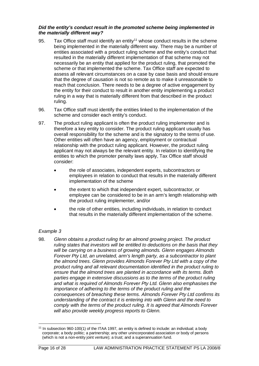### *Did the entity's conduct result in the promoted scheme being implemented in the materially different way?*

- 95. Tax Office staff must identify an entity<sup>[11](#page-16-0)</sup> whose conduct results in the scheme being implemented in the materially different way. There may be a number of entities associated with a product ruling scheme and the entity's conduct that resulted in the materially different implementation of that scheme may not necessarily be an entity that applied for the product ruling, that promoted the scheme or that implemented the scheme. Tax Office staff are expected to assess all relevant circumstances on a case by case basis and should ensure that the degree of causation is not so remote as to make it unreasonable to reach that conclusion. There needs to be a degree of active engagement by the entity for their conduct to result in another entity implementing a product ruling in a way that is materially different from that described in the product ruling.
- 96. Tax Office staff must identify the entities linked to the implementation of the scheme and consider each entity's conduct.
- 97. The product ruling applicant is often the product ruling implementer and is therefore a key entity to consider. The product ruling applicant usually has overall responsibility for the scheme and is the signatory to the terms of use. Other entities will often have an agency, employment or contractual relationship with the product ruling applicant. However, the product ruling applicant may not always be the relevant entity. In relation to identifying the entities to which the promoter penalty laws apply, Tax Office staff should consider:
	- the role of associates, independent experts, subcontractors or employees in relation to conduct that results in the materially different implementation of the scheme
	- the extent to which that independent expert, subcontractor, or employee can be considered to be in an arm's length relationship with the product ruling implementer, and/or
	- the role of other entities, including individuals, in relation to conduct that results in the materially different implementation of the scheme.

# *Example 3*

98. *Glenn obtains a product ruling for an almond growing project. The product ruling states that investors will be entitled to deductions on the basis that they will be carrying on a business of growing almonds. Glenn engages Almonds Forever Pty Ltd, an unrelated, arm's length party, as a subcontractor to plant the almond trees. Glenn provides Almonds Forever Pty Ltd with a copy of the product ruling and all relevant documentation identified in the product ruling to ensure that the almond trees are planted in accordance with its terms. Both parties engage in extensive discussions as to the terms of the product ruling and what is required of Almonds Forever Pty Ltd. Glenn also emphasises the importance of adhering to the terms of the product ruling and the consequences of breaching these terms. Almonds Forever Pty Ltd confirms its understanding of the contract it is entering into with Glenn and the need to comply with the terms of the product ruling. It is agreed that Almonds Forever will also provide weekly progress reports to Glenn.*

<span id="page-16-0"></span><sup>11</sup> In subsection 960-100(1) of the ITAA 1997, an entity is defined to include: an individual; a body corporate; a body politic; a partnership; any other unincorporated association or body of persons (which is not a non-entity joint venture); a trust; and a superannuation fund.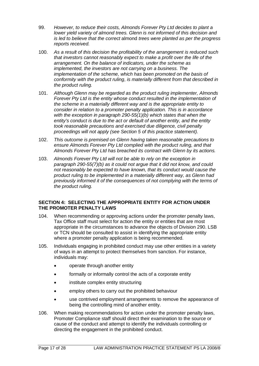- 99. *However, to reduce their costs, Almonds Forever Pty Ltd decides to plant a lower yield variety of almond trees. Glenn is not informed of this decision and is led to believe that the correct* almond *trees were planted as per the progress reports received.*
- 100. *As a result of this decision the profitability of the arrangement is reduced such that investors cannot reasonably expect to make a profit over the life of the arrangement. On the balance of indicators, under the scheme as implemented, the investors are not carrying on a business. The implementation of the scheme, which has been promoted on the basis of conformity with the product ruling*, *is materially different from that described in the product ruling.*
- 101. *Although Glenn may be regarded as the product ruling implementer, Almonds Forever Pty Ltd is the entity whose conduct resulted in the implementation of the scheme in a materially different way and is the appropriate entity to consider in relation to a promoter penalty application. This is in accordance with the exception in paragraph 290-55(1)(b) which states that when the entity's conduct is due to the act or default of another entity, and the entity took reasonable precautions and exercised due diligence, civil penalty proceedings will not apply (see Section 5 of this practice statement).*
- 102. *This outcome is premised on Glenn having taken reasonable precautions to ensure Almonds Forever Pty Ltd complied with the product ruling, and that Almonds Forever Pty Ltd has breached its contract with Glenn by its actions.*
- 103. *Almonds Forever Pty Ltd will not be able to rely on the exception in paragraph 290-55(7)(b) as it could not argue that it did not know, and could not reasonably be expected to have known, that its conduct would cause the product ruling to be implemented in a materially different way, as Glenn had previously informed it of the consequences of not complying with the terms of the product ruling.*

# **SECTION 4: SELECTING THE APPROPRIATE ENTITY FOR ACTION UNDER THE PROMOTER PENALTY LAWS**

- 104. When recommending or approving actions under the promoter penalty laws, Tax Office staff must select for action the entity or entities that are most appropriate in the circumstances to advance the objects of Division 290. LSB or TCN should be consulted to assist in identifying the appropriate entity where a promoter penalty application is being recommended.
- 105. Individuals engaging in prohibited conduct may use other entities in a variety of ways in an attempt to protect themselves from sanction. For instance, individuals may:
	- operate through another entity
	- formally or informally control the acts of a corporate entity
	- institute complex entity structuring
	- employ others to carry out the prohibited behaviour
	- use contrived employment arrangements to remove the appearance of being the controlling mind of another entity.
- 106. When making recommendations for action under the promoter penalty laws, Promoter Compliance staff should direct their examination to the source or cause of the conduct and attempt to identify the individuals controlling or directing the engagement in the prohibited conduct.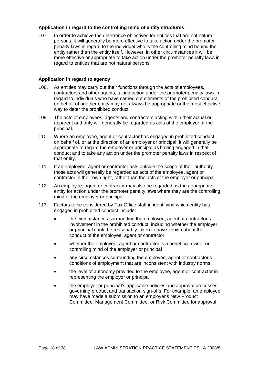# **Application in regard to the controlling mind of entity structures**

107. In order to achieve the deterrence objectives for entities that are not natural persons, it will generally be more effective to take action under the promoter penalty laws in regard to the individual who is the controlling mind behind the entity rather than the entity itself. However, in other circumstances it will be more effective or appropriate to take action under the promoter penalty laws in regard to entities that are not natural persons.

# **Application in regard to agency**

- 108. As entities may carry out their functions through the acts of employees, contractors and other agents, taking action under the promoter penalty laws in regard to individuals who have carried out elements of the prohibited conduct on behalf of another entity may not always be appropriate or the most effective way to deter the prohibited conduct.
- 109. The acts of employees, agents and contractors acting within their actual or apparent authority will generally be regarded as acts of the employer or the principal.
- 110. Where an employee, agent or contractor has engaged in prohibited conduct on behalf of, or at the direction of an employer or principal, it will generally be appropriate to regard the employer or principal as having engaged in that conduct and to take any action under the promoter penalty laws in respect of that entity.
- 111. If an employee, agent or contractor acts outside the scope of their authority those acts will generally be regarded as acts of the employee, agent or contractor in their own right, rather than the acts of the employer or principal.
- 112. An employee, agent or contractor may also be regarded as the appropriate entity for action under the promoter penalty laws where they are the controlling mind of the employer or principal.
- 113. Factors to be considered by Tax Office staff in identifying which entity has engaged in prohibited conduct include:
	- the circumstances surrounding the employee, agent or contractor's involvement in the prohibited conduct, including whether the employer or principal could be reasonably taken to have known about the conduct of the employee, agent or contractor
	- whether the employee, agent or contractor is a beneficial owner or controlling mind of the employer or principal
	- any circumstances surrounding the employee, agent or contractor's conditions of employment that are inconsistent with industry norms
	- the level of autonomy provided to the employee, agent or contractor in representing the employer or principal
	- the employer or principal's applicable policies and approval processes governing product and transaction sign-offs. For example, an employee may have made a submission to an employer's New Product Committee, Management Committee, or Risk Committee for approval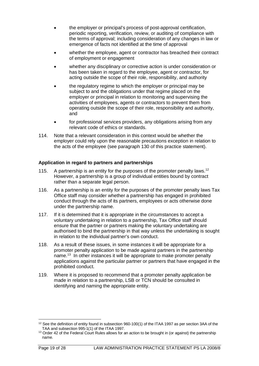- the employer or principal's process of post-approval certification, periodic reporting, verification, review, or auditing of compliance with the terms of approval; including consideration of any changes in law or emergence of facts not identified at the time of approval
- whether the employee, agent or contractor has breached their contract of employment or engagement
- whether any disciplinary or corrective action is under consideration or has been taken in regard to the employee, agent or contractor, for acting outside the scope of their role, responsibility, and authority
- the regulatory regime to which the employer or principal may be subject to and the obligations under that regime placed on the employer or principal in relation to monitoring and supervising the activities of employees, agents or contractors to prevent them from operating outside the scope of their role, responsibility and authority, and
- for professional services providers, any obligations arising from any relevant code of ethics or standards.
- 114. Note that a relevant consideration in this context would be whether the employer could rely upon the reasonable precautions exception in relation to the acts of the employee (see paragraph 130 of this practice statement).

# **Application in regard to partners and partnerships**

- 115. A partnership is an entity for the purposes of the promoter penalty laws.<sup>[12](#page-19-0)</sup> However, a partnership is a group of individual entities bound by contract rather than a separate legal person.
- 116. As a partnership is an entity for the purposes of the promoter penalty laws Tax Office staff may consider whether a partnership has engaged in prohibited conduct through the acts of its partners, employees or acts otherwise done under the partnership name.
- 117. If it is determined that it is appropriate in the circumstances to accept a voluntary undertaking in relation to a partnership, Tax Office staff should ensure that the partner or partners making the voluntary undertaking are authorised to bind the partnership in that way unless the undertaking is sought in relation to the individual partner's own conduct.
- 118. As a result of these issues, in some instances it will be appropriate for a promoter penalty application to be made against partners in the partnership name. [13](#page-19-1) In other instances it will be appropriate to make promoter penalty applications against the particular partner or partners that have engaged in the prohibited conduct.
- 119. Where it is proposed to recommend that a promoter penalty application be made in relation to a partnership, LSB or TCN should be consulted in identifying and naming the appropriate entity.

<span id="page-19-0"></span><sup>&</sup>lt;sup>12</sup> See the definition of entity found in subsection 960-100(1) of the ITAA 1997 as per section 3AA of the TAA and subsection 995-1(1) of the ITAA 1997.

<span id="page-19-1"></span><sup>&</sup>lt;sup>13</sup> Order 42 of the Federal Court Rules allows for an action to be brought in (or against) the partnership name.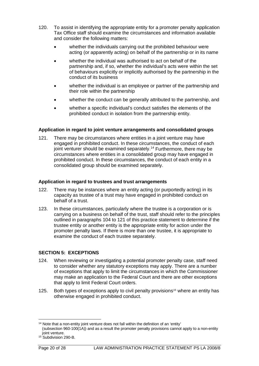- 120. To assist in identifying the appropriate entity for a promoter penalty application Tax Office staff should examine the circumstances and information available and consider the following matters:
	- whether the individuals carrying out the prohibited behaviour were acting (or apparently acting) on behalf of the partnership or in its name
	- whether the individual was authorised to act on behalf of the partnership and, if so, whether the individual's acts were within the set of behaviours explicitly or implicitly authorised by the partnership in the conduct of its business
	- whether the individual is an employee or partner of the partnership and their role within the partnership
	- whether the conduct can be generally attributed to the partnership, and
	- whether a specific individual's conduct satisfies the elements of the prohibited conduct in isolation from the partnership entity.

# **Application in regard to joint venture arrangements and consolidated groups**

121. There may be circumstances where entities in a joint venture may have engaged in prohibited conduct. In these circumstances, the conduct of each joint venturer should be examined separately.<sup>[14](#page-20-0)</sup> Furthermore, there may be circumstances where entities in a consolidated group may have engaged in prohibited conduct. In these circumstances, the conduct of each entity in a consolidated group should be examined separately.

#### **Application in regard to trustees and trust arrangements**

- 122. There may be instances where an entity acting (or purportedly acting) in its capacity as trustee of a trust may have engaged in prohibited conduct on behalf of a trust.
- 123. In these circumstances, particularly where the trustee is a corporation or is carrying on a business on behalf of the trust, staff should refer to the principles outlined in paragraphs 104 to 121 of this practice statement to determine if the trustee entity or another entity is the appropriate entity for action under the promoter penalty laws. If there is more than one trustee, it is appropriate to examine the conduct of each trustee separately.

# **SECTION 5: EXCEPTIONS**

- 124. When reviewing or investigating a potential promoter penalty case, staff need to consider whether any statutory exceptions may apply. There are a number of exceptions that apply to limit the circumstances in which the Commissioner may make an application to the Federal Court and there are other exceptions that apply to limit Federal Court orders.
- 125. Both types of exceptions apply to civil penalty provisions<sup>15</sup> where an entity has otherwise engaged in prohibited conduct.

<span id="page-20-0"></span><sup>&</sup>lt;sup>14</sup> Note that a non-entity joint venture does not fall within the definition of an 'entity' (subsection 960-100(1A)) and as a result the promoter penalty provisions cannot apply to a non-entity joint venture.

<span id="page-20-1"></span><sup>&</sup>lt;sup>15</sup> Subdivision 290-B.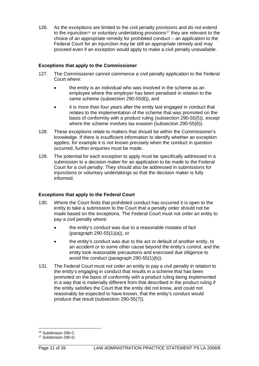126. As the exceptions are limited to the civil penalty provisions and do not extend to the injunction<sup>[16](#page-21-0)</sup> or voluntary undertaking provisions<sup>[17](#page-21-1)</sup> they are relevant to the choice of an appropriate remedy for prohibited conduct – an application to the Federal Court for an injunction may be still an appropriate remedy and may proceed even if an exception would apply to make a civil penalty unavailable.

# **Exceptions that apply to the Commissioner**

- 127. The Commissioner cannot commence a civil penalty application to the Federal Court where:
	- the entity is an individual who was involved in the scheme as an employee where the employer has been penalised in relation to the same scheme (subsection 290-55(8)), and
	- it is more than four years after the entity last engaged in conduct that relates to the implementation of the scheme that was promoted on the basis of conformity with a product ruling (subsection 290-55(5)), except where the scheme involves tax evasion (subsection 290-55(6)).
- 128. These exceptions relate to matters that should be within the Commissioner's knowledge. If there is insufficient information to identify whether an exception applies, for example it is not known precisely when the conduct in question occurred, further enquiries must be made.
- 129. The potential for each exception to apply must be specifically addressed in a submission to a decision maker for an application to be made to the Federal Court for a civil penalty. They should also be addressed in submissions for injunctions or voluntary undertakings so that the decision maker is fully informed.

# **Exceptions that apply to the Federal Court**

- 130. Where the Court finds that prohibited conduct has occurred it is open to the entity to take a submission to the Court that a penalty order should not be made based on the exceptions. The Federal Court must not order an entity to pay a civil penalty where:
	- the entity's conduct was due to a reasonable mistake of fact (paragraph 290-55(1)(a)), or
	- the entity's conduct was due to the act or default of another entity, to an accident or to some other cause beyond the entity's control, and the entity took reasonable precautions and exercised due diligence to avoid the conduct (paragraph 290-55(1)(b)).
- 131. The Federal Court must not order an entity to pay a civil penalty in relation to the entity's engaging in conduct that results in a scheme that has been promoted on the basis of conformity with a product ruling being implemented in a way that is materially different from that described in the product ruling if the entity satisfies the Court that the entity did not know, and could not reasonably be expected to have known, that the entity's conduct would produce that result (subsection 290-55(7)).

<span id="page-21-0"></span><sup>16</sup> Subdivision 290-C.

<span id="page-21-1"></span><sup>17</sup> Subdivision 290-D.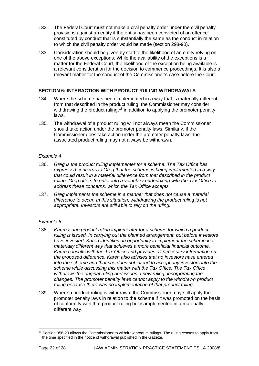- 132. The Federal Court must not make a civil penalty order under the civil penalty provisions against an entity if the entity has been convicted of an offence constituted by conduct that is substantially the same as the conduct in relation to which the civil penalty order would be made (section 298-90).
- 133. Consideration should be given by staff to the likelihood of an entity relying on one of the above exceptions. While the availability of the exceptions is a matter for the Federal Court, the likelihood of the exception being available is a relevant consideration for the decision to commence proceedings. It is also a relevant matter for the conduct of the Commissioner's case before the Court.

# **SECTION 6: INTERACTION WITH PRODUCT RULING WITHDRAWALS**

- 134. Where the scheme has been implemented in a way that is materially different from that described in the product ruling, the Commissioner may consider withdrawing the product ruling,<sup>[18](#page-22-0)</sup> in addition to applying the promoter penalty laws.
- 135. The withdrawal of a product ruling will not always mean the Commissioner should take action under the promoter penalty laws. Similarly, if the Commissioner does take action under the promoter penalty laws, the associated product ruling may not always be withdrawn.

#### *Example 4*

- 136. *Greg is the product ruling implementer for a scheme. The Tax Office has expressed concerns to Greg that the scheme is being implemented in a way that could result in a material difference from that described in the product ruling. Greg offers to enter into a voluntary undertaking with the Tax Office to address these concerns, which the Tax Office accepts.*
- 137. *Greg implements the scheme in a manner that does not cause a material difference to occur. In this situation, withdrawing the product ruling is not appropriate. Investors are still able to rely on the ruling.*

# *Example 5*

- 138. *Karen is the product ruling implementer for a scheme for which a product ruling is issued. In carrying out the planned arrangement, but before investors have invested, Karen identifies an opportunity to implement the scheme in a materially different way that achieves a more beneficial financial outcome. Karen consults with the Tax Office and provides all necessary information on the proposed difference. Karen also advises that no investors have entered into the scheme and that she does not intend to accept any investors into the scheme while discussing this matter with the Tax Office. The Tax Office withdraws the original ruling and issues a new ruling, incorporating the changes. The promoter penalty laws cannot apply to the withdrawn product ruling because there was no implementation of that product ruling.*
- 139. Where a product ruling is withdrawn, the Commissioner may still apply the promoter penalty laws in relation to the scheme if it was promoted on the basis of conformity with that product ruling but is implemented in a materially different way.

<span id="page-22-0"></span><sup>&</sup>lt;sup>18</sup> Section 358-20 allows the Commissioner to withdraw product rulings. The ruling ceases to apply from the time specified in the notice of withdrawal published in the Gazette.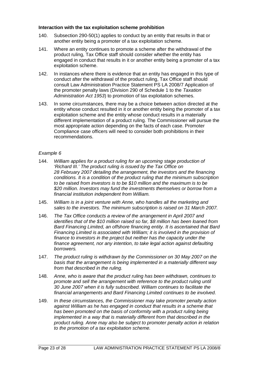#### **Interaction with the tax exploitation scheme prohibition**

- 140. Subsection 290-50(1) applies to conduct by an entity that results in that or another entity being a promoter of a tax exploitation scheme.
- 141. Where an entity continues to promote a scheme after the withdrawal of the product ruling, Tax Office staff should consider whether the entity has engaged in conduct that results in it or another entity being a promoter of a tax exploitation scheme.
- 142. In instances where there is evidence that an entity has engaged in this type of conduct after the withdrawal of the product ruling, Tax Office staff should consult Law Administration Practice Statement PS LA 2008/7 Application of the promoter penalty laws (Division 290 of Schedule 1 to the *Taxation Administration Act 1953*) to promotion of tax exploitation schemes.
- 143. In some circumstances, there may be a choice between action directed at the entity whose conduct resulted in it or another entity being the promoter of a tax exploitation scheme and the entity whose conduct results in a materially different implementation of a product ruling. The Commissioner will pursue the most appropriate action depending on the facts of each case. Promoter Compliance case officers will need to consider both prohibitions in their recommendations.

#### *Example 6*

- 144. *William applies for a product ruling for an upcoming stage production of 'Richard III.' The product ruling is issued by the Tax Office on 28 February 2007 detailing the arrangement, the investors and the financing conditions. It is a condition of the product ruling that the minimum subscription to be raised from investors is to be \$10 million and the maximum is to be \$20 million. Investors may fund the investments themselves or borrow from a financial institution independent from William.*
- 145. *William is in a joint venture with Anne, who handles all the marketing and sales to the investors. The minimum subscription is raised on 31 March 2007.*
- 146. *The Tax Office conducts a review of the arrangement in April 2007 and identifies that of the \$10 million raised so far, \$8 million has been loaned from Bard Financing Limited, an offshore financing entity. It is ascertained that Bard Financing Limited is associated with William; it is involved in the provision of finance to investors in the project but neither has the capacity under the finance agreement, nor any intention, to take legal action against defaulting borrowers.*
- 147. *The product ruling is withdrawn by the Commissioner on 30 May 2007 on the basis that the arrangement is being implemented in a materially different way from that described in the ruling.*
- 148. *Anne, who is aware that the product ruling has been withdrawn, continues to promote and sell the arrangement with reference to the product ruling until 30 June 2007 when it is fully subscribed. William continues to facilitate the financial arrangements and Bard Financing Limited continues to be involved.*
- 149. *In these circumstances, the Commissioner may take promoter penalty action against William as he has engaged in conduct that results in a scheme that*  has been promoted on the basis of conformity with a product ruling being *implemented in a way that is materially different from that described in the product ruling. Anne may also be subject to promoter penalty action in relation to the promotion of a tax exploitation scheme.*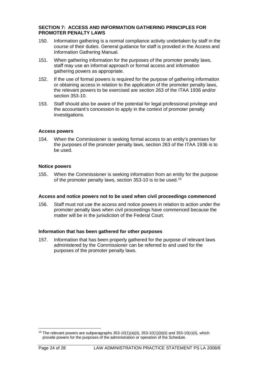#### **SECTION 7: ACCESS AND INFORMATION GATHERING PRINCIPLES FOR PROMOTER PENALTY LAWS**

- 150. Information gathering is a normal compliance activity undertaken by staff in the course of their duties. General guidance for staff is provided in the Access and Information Gathering Manual.
- 151. When gathering information for the purposes of the promoter penalty laws, staff may use an informal approach or formal access and information gathering powers as appropriate.
- 152. If the use of formal powers is required for the purpose of gathering information or obtaining access in relation to the application of the promoter penalty laws, the relevant powers to be exercised are section 263 of the ITAA 1936 and/or section 353-10.
- 153. Staff should also be aware of the potential for legal professional privilege and the accountant's concession to apply in the context of promoter penalty investigations.

#### **Access powers**

154. When the Commissioner is seeking formal access to an entity's premises for the purposes of the promoter penalty laws, section 263 of the ITAA 1936 is to be used.

#### **Notice powers**

155. When the Commissioner is seeking information from an entity for the purpose of the promoter penalty laws, section 353-10 is to be used.<sup>19</sup>

#### **Access and notice powers not to be used when civil proceedings commenced**

156. Staff must not use the access and notice powers in relation to action under the promoter penalty laws when civil proceedings have commenced because the matter will be in the jurisdiction of the Federal Court.

#### **Information that has been gathered for other purposes**

157. Information that has been properly gathered for the purpose of relevant laws administered by the Commissioner can be referred to and used for the purposes of the promoter penalty laws.

<span id="page-24-0"></span><sup>&</sup>lt;sup>19</sup> The relevant powers are subparagraphs  $353-10(1)(a)(ii)$ ,  $353-10(1)(b)(ii)$  and  $353-10(c)(ii)$ , which provide powers for the purposes of the administration or operation of the Schedule.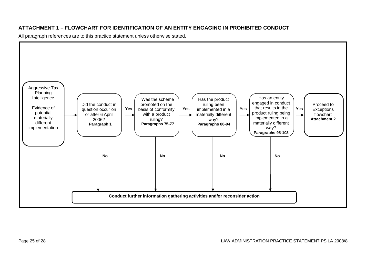# **ATTACHMENT 1 – FLOWCHART FOR IDENTIFICATION OF AN ENTITY ENGAGING IN PROHIBITED CONDUCT**

All paragraph references are to this practice statement unless otherwise stated.

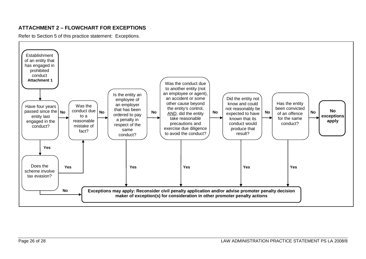# **ATTACHMENT 2 – FLOWCHART FOR EXCEPTIONS**

Refer to Section 5 of this practice statement: Exceptions.

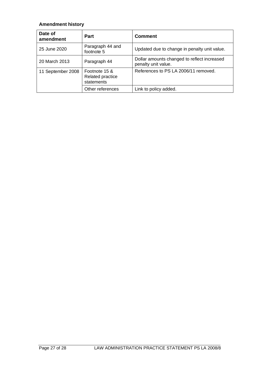# **Amendment history**

| Date of<br>amendment | Part                                            | <b>Comment</b>                                                     |
|----------------------|-------------------------------------------------|--------------------------------------------------------------------|
| 25 June 2020         | Paragraph 44 and<br>footnote 5                  | Updated due to change in penalty unit value.                       |
| 20 March 2013        | Paragraph 44                                    | Dollar amounts changed to reflect increased<br>penalty unit value. |
| 11 September 2008    | Footnote 15 &<br>Related practice<br>statements | References to PS LA 2006/11 removed.                               |
|                      | Other references                                | Link to policy added.                                              |